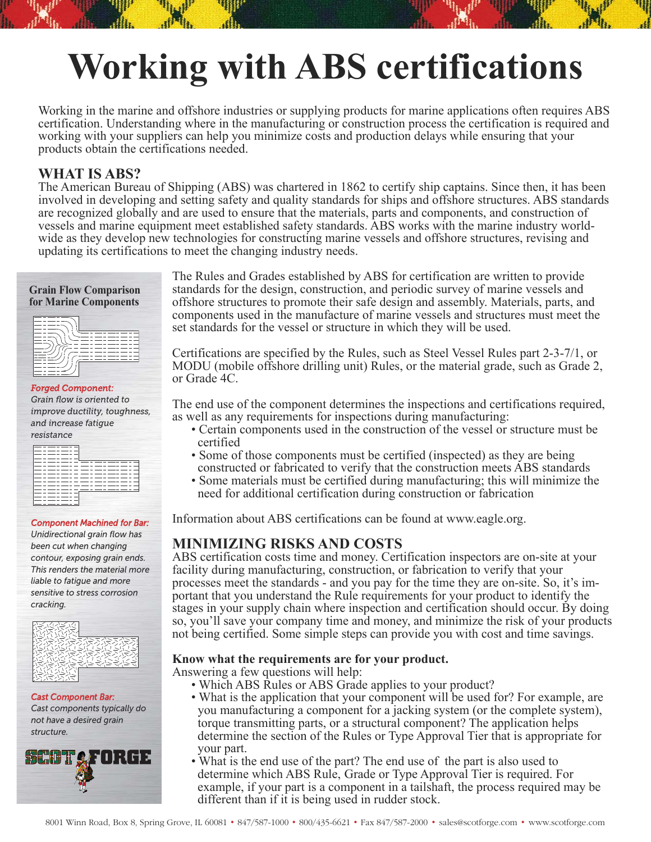# **Working with ABS certifications**

Working in the marine and offshore industries or supplying products for marine applications often requires ABS certification. Understanding where in the manufacturing or construction process the certification is required and working with your suppliers can help you minimize costs and production delays while ensuring that your products obtain the certifications needed.

### **WHAT IS ABS?**

The American Bureau of Shipping (ABS) was chartered in 1862 to certify ship captains. Since then, it has been involved in developing and setting safety and quality standards for ships and offshore structures. ABS standards are recognized globally and are used to ensure that the materials, parts and components, and construction of vessels and marine equipment meet established safety standards. ABS works with the marine industry worldwide as they develop new technologies for constructing marine vessels and offshore structures, revising and updating its certifications to meet the changing industry needs.

# **Grain Flow Comparison for Marine Components**

| × |
|---|
|   |
|   |

#### *Forged Component:*

*Grain flow is oriented to improve ductility, toughness, and increase fatigue resistance*

|  | ________ |      |     |                        |  |     |  |                          |  |
|--|----------|------|-----|------------------------|--|-----|--|--------------------------|--|
|  |          |      |     |                        |  |     |  |                          |  |
|  |          |      | ___ |                        |  |     |  |                          |  |
|  |          | ____ |     |                        |  |     |  |                          |  |
|  |          |      | ___ | ____                   |  |     |  |                          |  |
|  |          |      |     |                        |  |     |  |                          |  |
|  |          |      |     |                        |  |     |  |                          |  |
|  |          |      |     | ______________________ |  |     |  |                          |  |
|  |          |      |     | ------                 |  |     |  |                          |  |
|  |          |      |     | _________              |  | ___ |  | $\overline{\phantom{a}}$ |  |
|  |          | ____ | $-$ | $-$                    |  |     |  |                          |  |
|  |          |      |     | _________              |  |     |  |                          |  |
|  |          |      |     |                        |  |     |  |                          |  |
|  |          |      |     |                        |  |     |  |                          |  |
|  |          |      |     |                        |  |     |  |                          |  |
|  |          |      |     |                        |  |     |  |                          |  |
|  |          |      |     |                        |  |     |  |                          |  |

#### *Component Machined for Bar:*

*Unidirectional grain flow has been cut when changing contour, exposing grain ends. This renders the material more liable to fatigue and more sensitive to stress corrosion cracking.*



*Cast Component Bar: Cast components typically do not have a desired grain structure.*



The Rules and Grades established by ABS for certification are written to provide standards for the design, construction, and periodic survey of marine vessels and offshore structures to promote their safe design and assembly. Materials, parts, and components used in the manufacture of marine vessels and structures must meet the set standards for the vessel or structure in which they will be used.

Certifications are specified by the Rules, such as Steel Vessel Rules part 2-3-7/1, or MODU (mobile offshore drilling unit) Rules, or the material grade, such as Grade 2, or Grade 4C.

The end use of the component determines the inspections and certifications required, as well as any requirements for inspections during manufacturing:

- Certain components used in the construction of the vessel or structure must be certified
- Some of those components must be certified (inspected) as they are being constructed or fabricated to verify that the construction meets ABS standards
- Some materials must be certified during manufacturing; this will minimize the need for additional certification during construction or fabrication

Information about ABS certifications can be found at www.eagle.org.

### **MINIMIZING RISKS AND COSTS**

ABS certification costs time and money. Certification inspectors are on-site at your facility during manufacturing, construction, or fabrication to verify that your processes meet the standards - and you pay for the time they are on-site. So, it's important that you understand the Rule requirements for your product to identify the stages in your supply chain where inspection and certification should occur. By doing so, you'll save your company time and money, and minimize the risk of your products not being certified. Some simple steps can provide you with cost and time savings.

#### **Know what the requirements are for your product.**

Answering a few questions will help:

- Which ABS Rules or ABS Grade applies to your product?
- What is the application that your component will be used for? For example, are you manufacturing a component for a jacking system (or the complete system), torque transmitting parts, or a structural component? The application helps determine the section of the Rules or Type Approval Tier that is appropriate for your part.
- What is the end use of the part? The end use of the part is also used to determine which ABS Rule, Grade or Type Approval Tier is required. For example, if your part is a component in a tailshaft, the process required may be different than if it is being used in rudder stock.